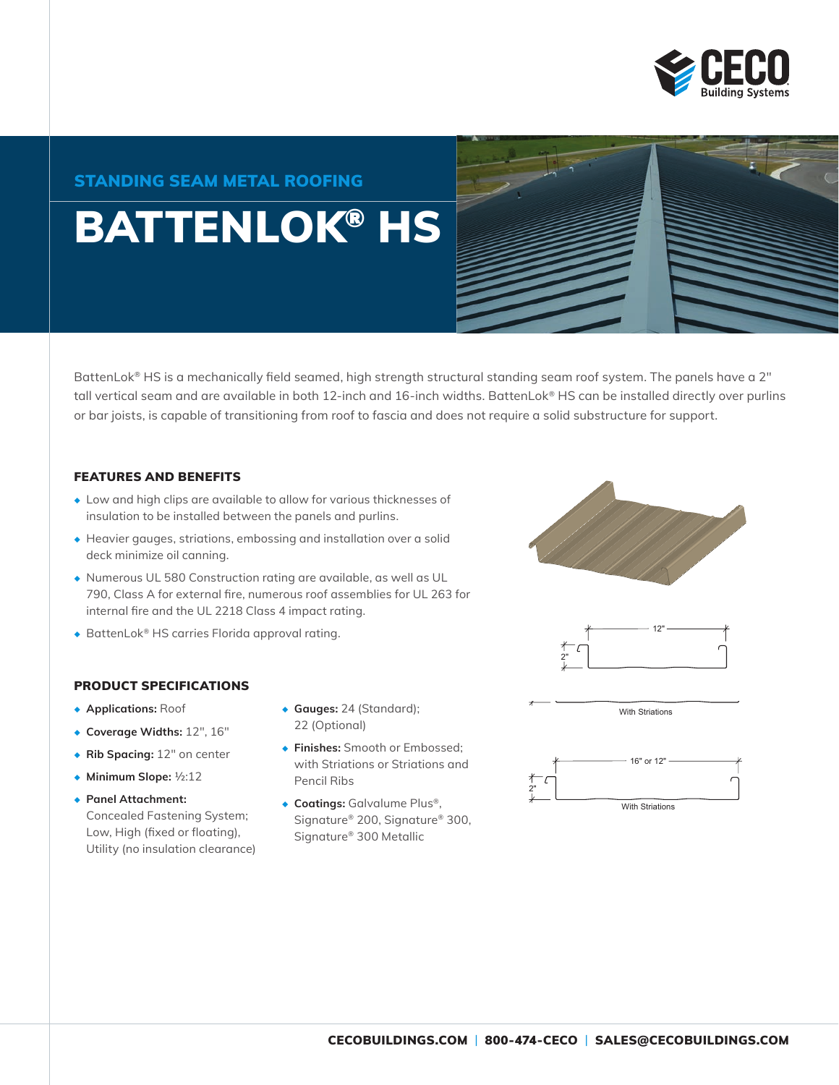

# STANDING SEAM METAL ROOFING

# BATTENLOK® HS

BattenLok® HS is a mechanically field seamed, high strength structural standing seam roof system. The panels have a 2" tall vertical seam and are available in both 12-inch and 16-inch widths. BattenLok® HS can be installed directly over purlins or bar joists, is capable of transitioning from roof to fascia and does not require a solid substructure for support.

#### FEATURES AND BENEFITS

- ◆ Low and high clips are available to allow for various thicknesses of insulation to be installed between the panels and purlins.
- ◆ Heavier gauges, striations, embossing and installation over a solid deck minimize oil canning.
- ◆ Numerous UL 580 Construction rating are available, as well as UL 790, Class A for external fire, numerous roof assemblies for UL 263 for internal fire and the UL 2218 Class 4 impact rating.
- ◆ BattenLok® HS carries Florida approval rating.

#### PRODUCT SPECIFICATIONS

- ◆ **Applications:** Roof
- ◆ **Coverage Widths:** 12", 16"
- ◆ **Rib Spacing:** 12" on center
- ◆ **Minimum Slope:** ½:12
- ◆ **Panel Attachment:** Concealed Fastening System; Low, High (fixed or floating), Utility (no insulation clearance)
- ◆ **Gauges:** 24 (Standard); 22 (Optional)
- ◆ **Finishes:** Smooth or Embossed; with Striations or Striations and Pencil Ribs
- ◆ **Coatings:** Galvalume Plus®, Signature® 200, Signature® 300, Signature® 300 Metallic





With Striations